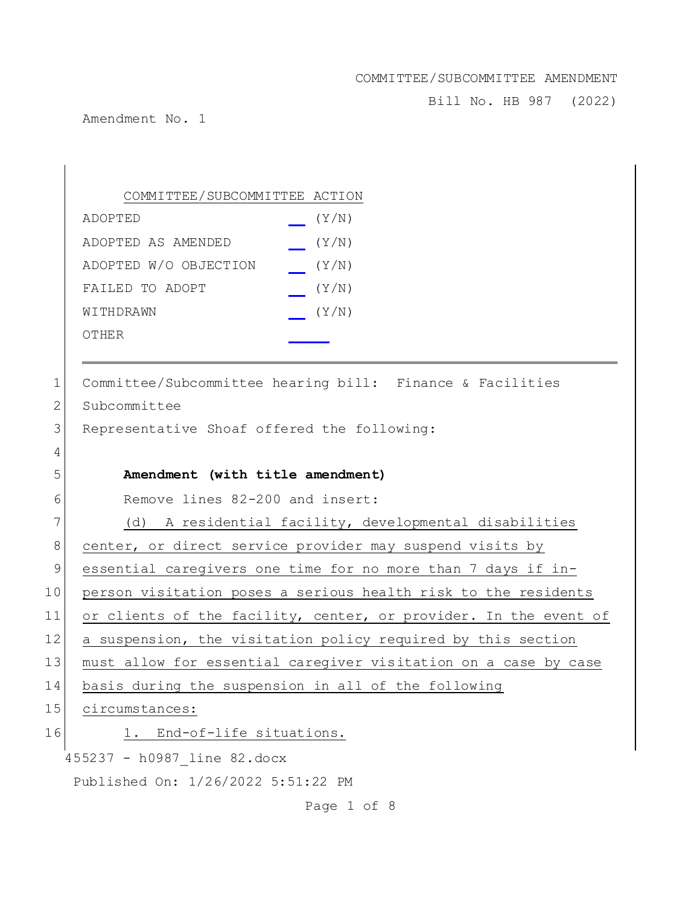Bill No. HB 987 (2022)

Amendment No. 1

|    | COMMITTEE/SUBCOMMITTEE ACTION                                    |
|----|------------------------------------------------------------------|
|    | (Y/N)<br>ADOPTED                                                 |
|    | ADOPTED AS AMENDED<br>(Y/N)                                      |
|    | (Y/N)<br>ADOPTED W/O OBJECTION                                   |
|    | FAILED TO ADOPT<br>(Y/N)                                         |
|    | (Y/N)<br>WITHDRAWN                                               |
|    | OTHER                                                            |
|    |                                                                  |
| 1  | Committee/Subcommittee hearing bill: Finance & Facilities        |
| 2  | Subcommittee                                                     |
| 3  | Representative Shoaf offered the following:                      |
| 4  |                                                                  |
| 5  | Amendment (with title amendment)                                 |
| 6  | Remove lines 82-200 and insert:                                  |
| 7  | (d) A residential facility, developmental disabilities           |
| 8  | center, or direct service provider may suspend visits by         |
| 9  | essential caregivers one time for no more than 7 days if in-     |
| 10 | person visitation poses a serious health risk to the residents   |
| 11 | or clients of the facility, center, or provider. In the event of |
| 12 | a suspension, the visitation policy required by this section     |
| 13 | must allow for essential caregiver visitation on a case by case  |
| 14 | basis during the suspension in all of the following              |
| 15 | circumstances:                                                   |
| 16 | End-of-life situations.                                          |
|    | 455237 - h0987 line 82.docx                                      |
|    | Published On: 1/26/2022 5:51:22 PM                               |
|    | Page 1 of 8                                                      |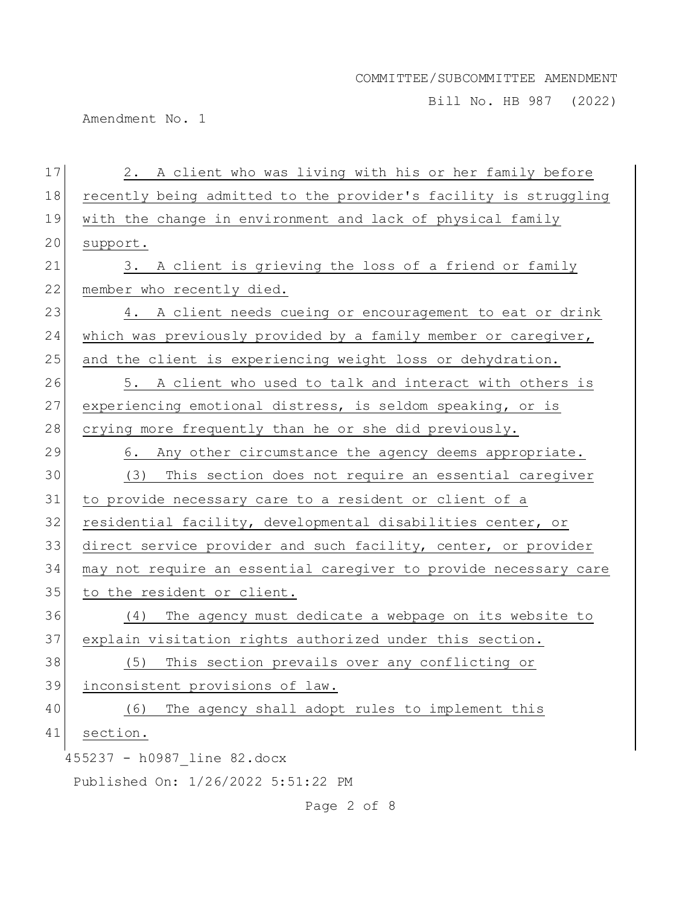Bill No. HB 987 (2022)

Amendment No. 1

| 17 | 2. A client who was living with his or her family before         |
|----|------------------------------------------------------------------|
| 18 | recently being admitted to the provider's facility is struggling |
| 19 | with the change in environment and lack of physical family       |
| 20 | support.                                                         |
| 21 | 3. A client is grieving the loss of a friend or family           |
| 22 | member who recently died.                                        |
| 23 | 4. A client needs cueing or encouragement to eat or drink        |
| 24 | which was previously provided by a family member or caregiver,   |
| 25 | and the client is experiencing weight loss or dehydration.       |
| 26 | 5. A client who used to talk and interact with others is         |
| 27 | experiencing emotional distress, is seldom speaking, or is       |
| 28 | crying more frequently than he or she did previously.            |
| 29 | 6. Any other circumstance the agency deems appropriate.          |
| 30 | (3) This section does not require an essential caregiver         |
| 31 | to provide necessary care to a resident or client of a           |
| 32 | residential facility, developmental disabilities center, or      |
| 33 | direct service provider and such facility, center, or provider   |
| 34 | may not require an essential caregiver to provide necessary care |
| 35 | to the resident or client.                                       |
| 36 | (4) The agency must dedicate a webpage on its website to         |
| 37 | explain visitation rights authorized under this section.         |
| 38 | (5) This section prevails over any conflicting or                |
| 39 | inconsistent provisions of law.                                  |
| 40 | The agency shall adopt rules to implement this<br>(6)            |
| 41 | section.                                                         |
|    | 455237 - h0987 line 82.docx                                      |
|    | Published On: 1/26/2022 5:51:22 PM                               |

Page 2 of 8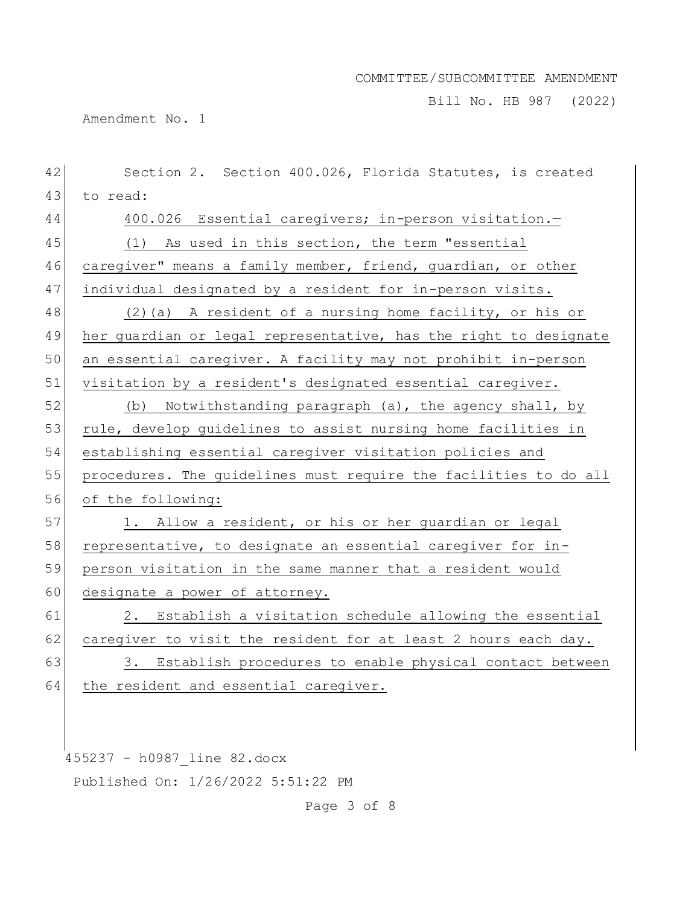Bill No. HB 987 (2022)

Amendment No. 1

| 42 | Section 2. Section 400.026, Florida Statutes, is created         |
|----|------------------------------------------------------------------|
| 43 | to read:                                                         |
| 44 | 400.026 Essential caregivers; in-person visitation.-             |
| 45 | (1) As used in this section, the term "essential                 |
| 46 | caregiver" means a family member, friend, guardian, or other     |
| 47 | individual designated by a resident for in-person visits.        |
| 48 | (2) (a) A resident of a nursing home facility, or his or         |
| 49 | her guardian or legal representative, has the right to designate |
| 50 | an essential caregiver. A facility may not prohibit in-person    |
| 51 | visitation by a resident's designated essential caregiver.       |
| 52 | (b) Notwithstanding paragraph (a), the agency shall, by          |
| 53 | rule, develop guidelines to assist nursing home facilities in    |
| 54 | establishing essential caregiver visitation policies and         |
| 55 | procedures. The guidelines must require the facilities to do all |
| 56 | of the following:                                                |
| 57 | 1. Allow a resident, or his or her guardian or legal             |
| 58 | representative, to designate an essential caregiver for in-      |
| 59 | person visitation in the same manner that a resident would       |
| 60 | designate a power of attorney.                                   |
| 61 | 2. Establish a visitation schedule allowing the essential        |
| 62 | caregiver to visit the resident for at least 2 hours each day.   |
| 63 | 3. Establish procedures to enable physical contact between       |
| 64 | the resident and essential caregiver.                            |
|    |                                                                  |

455237 - h0987\_line 82.docx Published On: 1/26/2022 5:51:22 PM

Page 3 of 8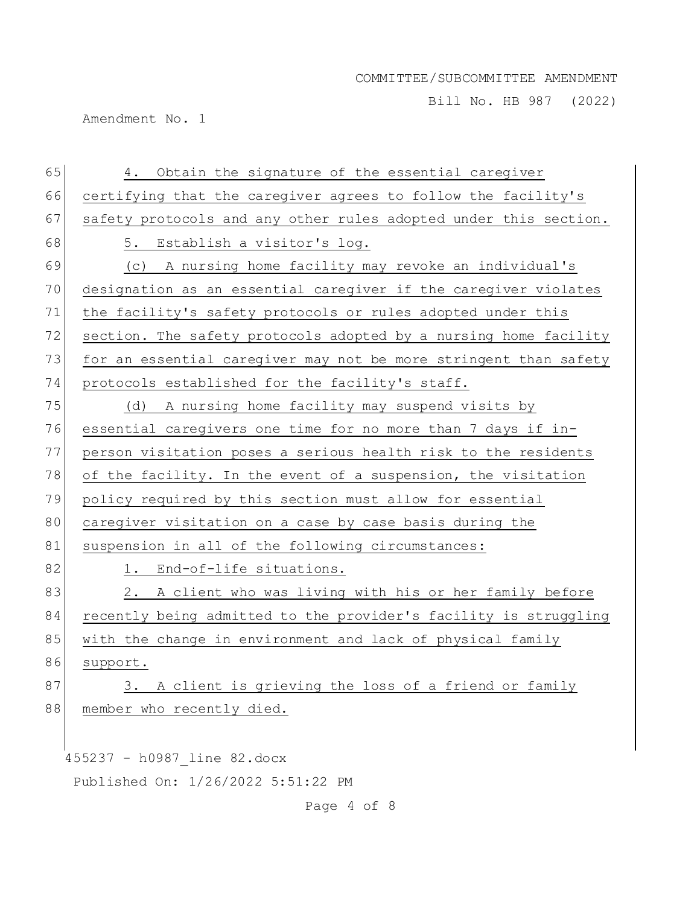Bill No. HB 987 (2022)

Amendment No. 1

| 65 | 4. Obtain the signature of the essential caregiver               |
|----|------------------------------------------------------------------|
| 66 | certifying that the caregiver agrees to follow the facility's    |
| 67 | safety protocols and any other rules adopted under this section. |
| 68 | 5. Establish a visitor's log.                                    |
| 69 | (c) A nursing home facility may revoke an individual's           |
| 70 | designation as an essential caregiver if the caregiver violates  |
| 71 | the facility's safety protocols or rules adopted under this      |
| 72 | section. The safety protocols adopted by a nursing home facility |
| 73 | for an essential caregiver may not be more stringent than safety |
| 74 | protocols established for the facility's staff.                  |
| 75 | (d) A nursing home facility may suspend visits by                |
| 76 | essential caregivers one time for no more than 7 days if in-     |
| 77 | person visitation poses a serious health risk to the residents   |
| 78 | of the facility. In the event of a suspension, the visitation    |
| 79 | policy required by this section must allow for essential         |
| 80 | caregiver visitation on a case by case basis during the          |
| 81 | suspension in all of the following circumstances:                |
| 82 | 1. End-of-life situations.                                       |
| 83 | 2. A client who was living with his or her family before         |
| 84 | recently being admitted to the provider's facility is struggling |
| 85 | with the change in environment and lack of physical family       |
| 86 | support.                                                         |
| 87 | 3. A client is grieving the loss of a friend or family           |
| 88 | member who recently died.                                        |
|    |                                                                  |
|    | 455237 - h0987 line 82.docx                                      |
|    | Published On: 1/26/2022 5:51:22 PM                               |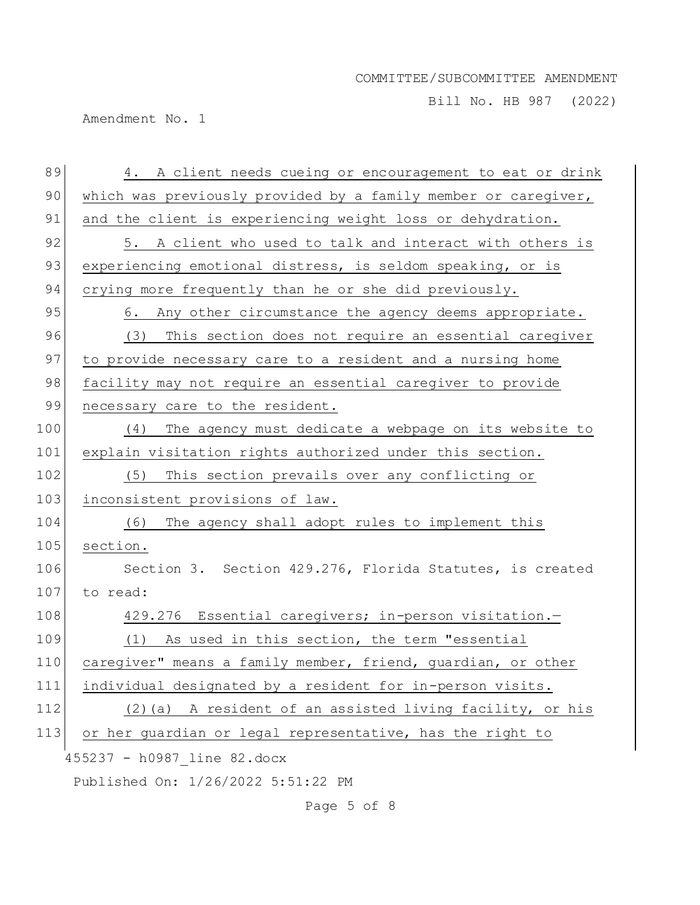Bill No. HB 987 (2022)

Amendment No. 1

| 89  | 4. A client needs cueing or encouragement to eat or drink      |
|-----|----------------------------------------------------------------|
| 90  | which was previously provided by a family member or caregiver, |
| 91  | and the client is experiencing weight loss or dehydration.     |
| 92  | 5. A client who used to talk and interact with others is       |
| 93  | experiencing emotional distress, is seldom speaking, or is     |
| 94  | crying more frequently than he or she did previously.          |
| 95  | 6. Any other circumstance the agency deems appropriate.        |
| 96  | (3) This section does not require an essential caregiver       |
| 97  | to provide necessary care to a resident and a nursing home     |
| 98  | facility may not require an essential caregiver to provide     |
| 99  | necessary care to the resident.                                |
| 100 | (4)<br>The agency must dedicate a webpage on its website to    |
| 101 | explain visitation rights authorized under this section.       |
| 102 | This section prevails over any conflicting or<br>(5)           |
| 103 | inconsistent provisions of law.                                |
| 104 | (6)<br>The agency shall adopt rules to implement this          |
| 105 | section.                                                       |
| 106 | Section 3. Section 429.276, Florida Statutes, is created       |
| 107 | to read:                                                       |
| 108 | 429.276 Essential caregivers; in-person visitation.-           |
| 109 | (1) As used in this section, the term "essential               |
| 110 | caregiver" means a family member, friend, guardian, or other   |
| 111 | individual designated by a resident for in-person visits.      |
| 112 | (2)(a) A resident of an assisted living facility, or his       |
| 113 | or her guardian or legal representative, has the right to      |
|     | 455237 - h0987 line 82.docx                                    |
|     | Published On: 1/26/2022 5:51:22 PM                             |

Page 5 of 8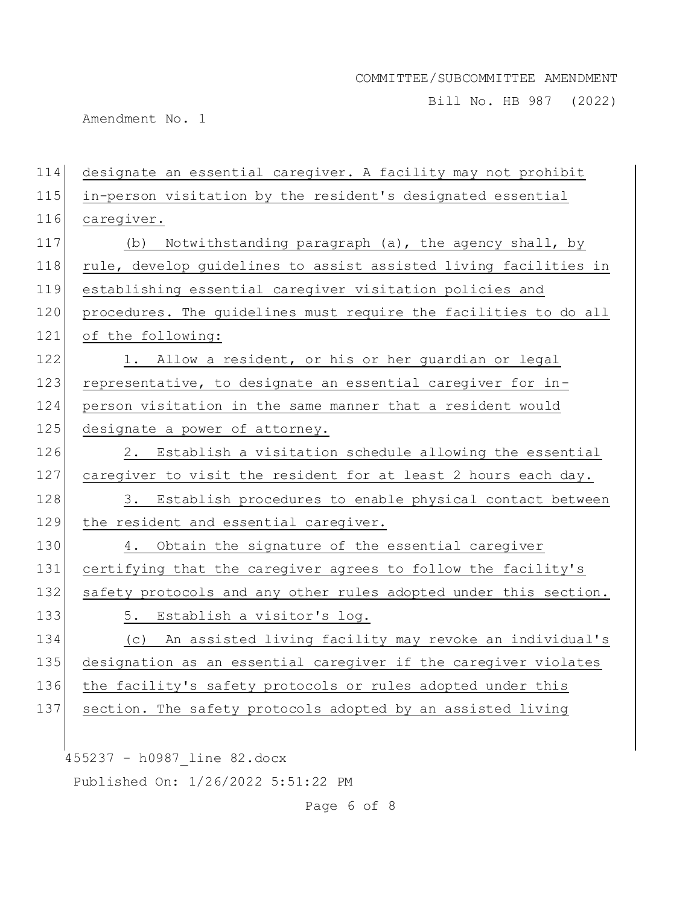Bill No. HB 987 (2022)

Amendment No. 1

| 114 | designate an essential caregiver. A facility may not prohibit    |
|-----|------------------------------------------------------------------|
| 115 | in-person visitation by the resident's designated essential      |
| 116 | caregiver.                                                       |
| 117 | Notwithstanding paragraph (a), the agency shall, by<br>(b)       |
| 118 | rule, develop guidelines to assist assisted living facilities in |
| 119 | establishing essential caregiver visitation policies and         |
| 120 | procedures. The guidelines must require the facilities to do all |
| 121 | of the following:                                                |
| 122 | 1. Allow a resident, or his or her guardian or legal             |
| 123 | representative, to designate an essential caregiver for in-      |
| 124 | person visitation in the same manner that a resident would       |
| 125 | designate a power of attorney.                                   |
| 126 | 2. Establish a visitation schedule allowing the essential        |
| 127 | caregiver to visit the resident for at least 2 hours each day.   |
| 128 | 3. Establish procedures to enable physical contact between       |
| 129 | the resident and essential caregiver.                            |
| 130 | 4. Obtain the signature of the essential caregiver               |
| 131 | certifying that the caregiver agrees to follow the facility's    |
| 132 | safety protocols and any other rules adopted under this section. |
| 133 | 5. Establish a visitor's log.                                    |
| 134 | (c) An assisted living facility may revoke an individual's       |
| 135 | designation as an essential caregiver if the caregiver violates  |
| 136 | the facility's safety protocols or rules adopted under this      |
| 137 | section. The safety protocols adopted by an assisted living      |
|     |                                                                  |
|     | 455237 - h0987 line 82.docx                                      |

Published On: 1/26/2022 5:51:22 PM

Page 6 of 8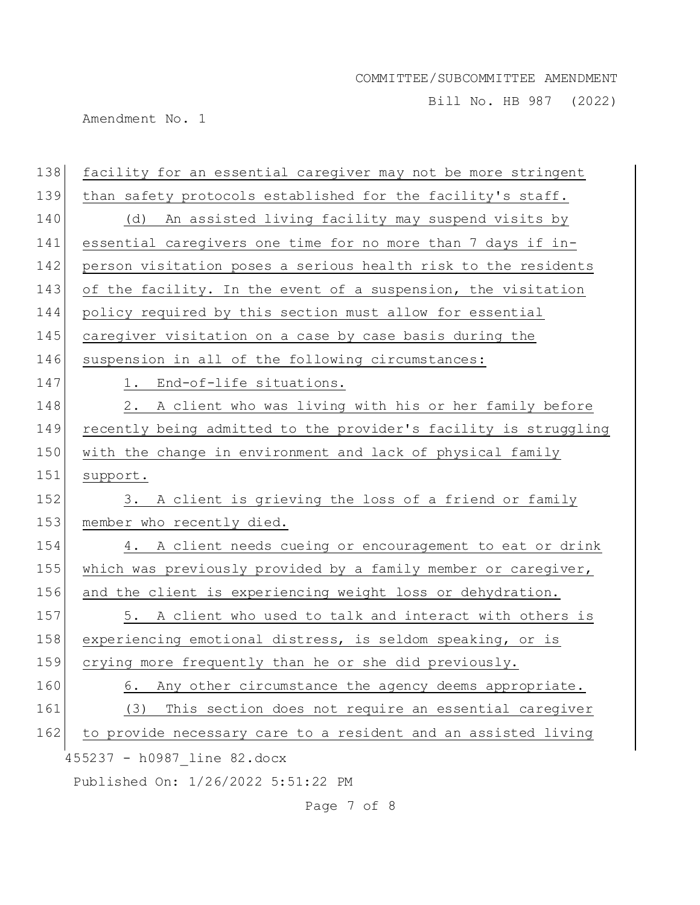Bill No. HB 987 (2022)

Amendment No. 1

| 138 | facility for an essential caregiver may not be more stringent    |
|-----|------------------------------------------------------------------|
| 139 | than safety protocols established for the facility's staff.      |
| 140 | (d) An assisted living facility may suspend visits by            |
| 141 | essential caregivers one time for no more than 7 days if in-     |
| 142 | person visitation poses a serious health risk to the residents   |
| 143 | of the facility. In the event of a suspension, the visitation    |
| 144 | policy required by this section must allow for essential         |
| 145 | caregiver visitation on a case by case basis during the          |
| 146 | suspension in all of the following circumstances:                |
| 147 | 1. End-of-life situations.                                       |
| 148 | 2. A client who was living with his or her family before         |
| 149 | recently being admitted to the provider's facility is struggling |
| 150 | with the change in environment and lack of physical family       |
| 151 | support.                                                         |
| 152 | 3. A client is grieving the loss of a friend or family           |
| 153 | member who recently died.                                        |
| 154 | 4. A client needs cueing or encouragement to eat or drink        |
| 155 | which was previously provided by a family member or caregiver,   |
| 156 | and the client is experiencing weight loss or dehydration.       |
| 157 | 5. A client who used to talk and interact with others is         |
| 158 | experiencing emotional distress, is seldom speaking, or is       |
| 159 | crying more frequently than he or she did previously.            |
| 160 | Any other circumstance the agency deems appropriate.<br>6.       |
| 161 | This section does not require an essential caregiver<br>(3)      |
| 162 | to provide necessary care to a resident and an assisted living   |
|     | 455237 - h0987 line 82.docx                                      |
|     | Published On: 1/26/2022 5:51:22 PM                               |

Page 7 of 8